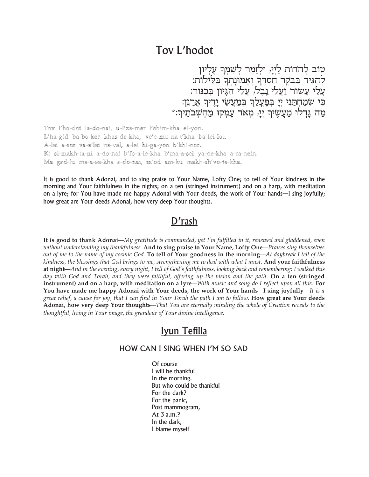## Tov L'hodot

טוב להדות לַיִיַּ, וּלְזַמֵּר לִשְׁמְךָ עֵלְיוֹן לְהַגִּיד בַּבִּקֶר חַסְדֶךְ וֶאֱמוּנָתְךְ בַּלֵילוֹת: עֵלֵי עָשׂוּר וַעֲלֵי נַבֵל, עֵלֵי הִגְיוֹן בִּכְנוֹר: כִּי שִׁמַחְתַנִי יְיָ בְּפָעֲלֶךְ בְּמַעֲשֵׂי יָדֵיךָ אַרַנֵּן: מה גַּדְלוּ מַעֲשֵׂיךָ יַיַ, מַאד עַמַקוּ מַחְשָׁבֹתֵיךָ:\*

Tov l'ho-dot la-do-nai, u-l'za-mer l'shim-kha el-yon. L'ha-gid ba-bo-ker khas-de-kha, ve'e-mu-na-t'kha ba-lei-lot. A-lei a-sor va-a'lei na-vel, a-lei hi-ga-yon b'khi-nor. Ki si-makh-ta-ni a-do-nai b'fo-a-le-kha b'ma-a-sei ya-de-kha a-ra-nein. Ma gad-lu ma-a-se-kha a-do-nai, m'od am-ku makh-sh'vo-te-kha.

It is good to thank Adonai, and to sing praise to Your Name, Lofty One; to tell of Your kindness in the morning and Your faithfulness in the nights; on a ten (stringed instrument) and on a harp, with meditation on a lyre; for You have made me happy Adonai with Your deeds, the work of Your hands—I sing joyfully; how great are Your deeds Adonai, how very deep Your thoughts.

## D'rash

It is good to thank Adonai—My gratitude is commanded, yet I'm fulfilled in it, renewed and gladdened, even without understanding my thankfulness. And to sing praise to Your Name, Lofty One—Praises sing themselves out of me to the name of my cosmic God. To tell of Your goodness in the morning—At daybreak I tell of the kindness, the blessings that God brings to me, strengthening me to deal with what I must. And your faithfulness at night—And in the evening, every night, I tell of God's faithfulness, looking back and remembering: I walked this day with God and Torah, and they were faithful, offering up the vision and the path. On a ten (stringed instrument) and on a harp, with meditation on a lyre—With music and song do I reflect upon all this. For You have made me happy Adonai with Your deeds, the work of Your hands—I sing joyfully—It is a great relief, a cause for joy, that I can find in Your Torah the path I am to follow. How great are Your deeds Adonai, how very deep Your thoughts—That You are eternally minding the whole of Creation reveals to the thoughtful, living in Your image, the grandeur of Your divine intelligence.

## Iyun Tefilla

## HOW CAN I SING WHEN I'M SO SAD

Of course I will be thankful In the morning. But who could be thankful For the dark? For the panic, Post mammogram, At 3 a.m.? In the dark, I blame myself